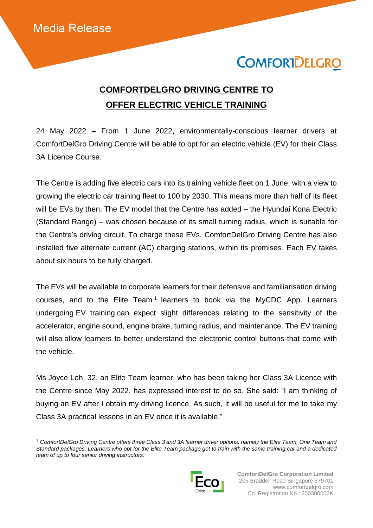$\overline{a}$ 

## **COMFORTDELGRO**

## **COMFORTDELGRO DRIVING CENTRE TO OFFER ELECTRIC VEHICLE TRAINING**

24 May 2022 – From 1 June 2022, environmentally-conscious learner drivers at ComfortDelGro Driving Centre will be able to opt for an electric vehicle (EV) for their Class 3A Licence Course.

The Centre is adding five electric cars into its training vehicle fleet on 1 June, with a view to growing the electric car training fleet to 100 by 2030. This means more than half of its fleet will be EVs by then. The EV model that the Centre has added – the Hyundai Kona Electric (Standard Range) – was chosen because of its small turning radius, which is suitable for the Centre's driving circuit. To charge these EVs, ComfortDelGro Driving Centre has also installed five alternate current (AC) charging stations, within its premises. Each EV takes about six hours to be fully charged.

The EVs will be available to corporate learners for their defensive and familiarisation driving courses, and to the Elite Team<sup>1</sup> learners to book via the MyCDC App. Learners undergoing EV training can expect slight differences relating to the sensitivity of the accelerator, engine sound, engine brake, turning radius, and maintenance. The EV training will also allow learners to better understand the electronic control buttons that come with the vehicle.

Ms Joyce Loh, 32, an Elite Team learner, who has been taking her Class 3A Licence with the Centre since May 2022, has expressed interest to do so. She said: "I am thinking of buying an EV after I obtain my driving licence. As such, it will be useful for me to take my Class 3A practical lessons in an EV once it is available."

<sup>1</sup> *ComfortDelGro Driving Centre offers three Class 3 and 3A learner driver options, namely the Elite Team, One Team and Standard packages. Learners who opt for the Elite Team package get to train with the same training car and a dedicated team of up to four senior driving instructors.*

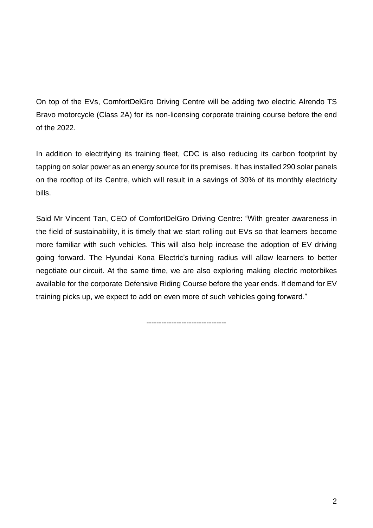On top of the EVs, ComfortDelGro Driving Centre will be adding two electric Alrendo TS Bravo motorcycle (Class 2A) for its non-licensing corporate training course before the end of the 2022.

In addition to electrifying its training fleet, CDC is also reducing its carbon footprint by tapping on solar power as an energy source for its premises. It has installed 290 solar panels on the rooftop of its Centre, which will result in a savings of 30% of its monthly electricity bills.

Said Mr Vincent Tan, CEO of ComfortDelGro Driving Centre: "With greater awareness in the field of sustainability, it is timely that we start rolling out EVs so that learners become more familiar with such vehicles. This will also help increase the adoption of EV driving going forward. The Hyundai Kona Electric's turning radius will allow learners to better negotiate our circuit. At the same time, we are also exploring making electric motorbikes available for the corporate Defensive Riding Course before the year ends. If demand for EV training picks up, we expect to add on even more of such vehicles going forward."

--------------------------------